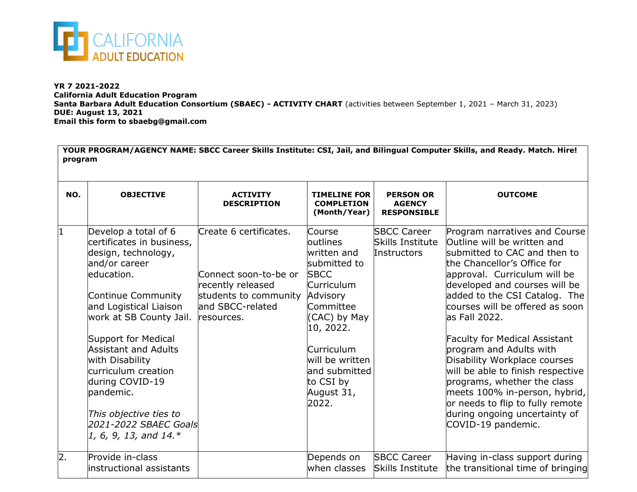

**YR 7 2021-2022 California Adult Education Program Santa Barbara Adult Education Consortium (SBAEC) - ACTIVITY CHART** (activities between September 1, 2021 – March 31, 2023) **DUE: August 13, 2021 Email this form to sbaebg@gmail.com**

| YOUR PROGRAM/AGENCY NAME: SBCC Career Skills Institute: CSI, Jail, and Bilingual Computer Skills, and Ready. Match. Hire!<br>program |                                                                                                                                                                                                                                                                                                                                                                                                    |                                                                                                                                 |                                                                                                                                                                                                                            |                                                         |                                                                                                                                                                                                                                                                                                                                                                                                                                                                                                                                                                                      |  |  |  |  |
|--------------------------------------------------------------------------------------------------------------------------------------|----------------------------------------------------------------------------------------------------------------------------------------------------------------------------------------------------------------------------------------------------------------------------------------------------------------------------------------------------------------------------------------------------|---------------------------------------------------------------------------------------------------------------------------------|----------------------------------------------------------------------------------------------------------------------------------------------------------------------------------------------------------------------------|---------------------------------------------------------|--------------------------------------------------------------------------------------------------------------------------------------------------------------------------------------------------------------------------------------------------------------------------------------------------------------------------------------------------------------------------------------------------------------------------------------------------------------------------------------------------------------------------------------------------------------------------------------|--|--|--|--|
| NO.                                                                                                                                  | <b>OBJECTIVE</b>                                                                                                                                                                                                                                                                                                                                                                                   | <b>ACTIVITY</b><br><b>DESCRIPTION</b>                                                                                           | <b>TIMELINE FOR</b><br><b>COMPLETION</b><br>(Month/Year)                                                                                                                                                                   | <b>PERSON OR</b><br><b>AGENCY</b><br><b>RESPONSIBLE</b> | <b>OUTCOME</b>                                                                                                                                                                                                                                                                                                                                                                                                                                                                                                                                                                       |  |  |  |  |
| 1                                                                                                                                    | Develop a total of 6<br>certificates in business,<br>design, technology,<br>and/or career<br>education.<br>Continue Community<br>and Logistical Liaison<br>work at SB County Jail.<br>Support for Medical<br><b>Assistant and Adults</b><br>with Disability<br>curriculum creation<br>during COVID-19<br>pandemic.<br>This objective ties to<br>2021-2022 SBAEC Goals<br>$1, 6, 9, 13,$ and $14.*$ | Create 6 certificates.<br>Connect soon-to-be or<br>recently released<br>students to community<br>and SBCC-related<br>resources. | Course<br>outlines<br>written and<br>submitted to<br><b>SBCC</b><br>Curriculum<br>Advisory<br>Committee<br>(CAC) by May<br>10, 2022.<br>Curriculum<br>will be written<br>and submitted<br>to CSI by<br>August 31,<br>2022. | <b>SBCC Career</b><br>Skills Institute<br>Instructors   | Program narratives and Course<br>Outline will be written and<br>submitted to CAC and then to<br>the Chancellor's Office for<br>approval. Curriculum will be<br>developed and courses will be<br>added to the CSI Catalog. The<br>courses will be offered as soon<br>as Fall 2022.<br><b>Faculty for Medical Assistant</b><br>program and Adults with<br>Disability Workplace courses<br>will be able to finish respective<br>programs, whether the class<br>meets 100% in-person, hybrid,<br>or needs to flip to fully remote<br>during ongoing uncertainty of<br>COVID-19 pandemic. |  |  |  |  |
| 2.                                                                                                                                   | Provide in-class<br>instructional assistants                                                                                                                                                                                                                                                                                                                                                       |                                                                                                                                 | Depends on<br>when classes                                                                                                                                                                                                 | <b>SBCC Career</b><br>Skills Institute                  | Having in-class support during<br>the transitional time of bringing                                                                                                                                                                                                                                                                                                                                                                                                                                                                                                                  |  |  |  |  |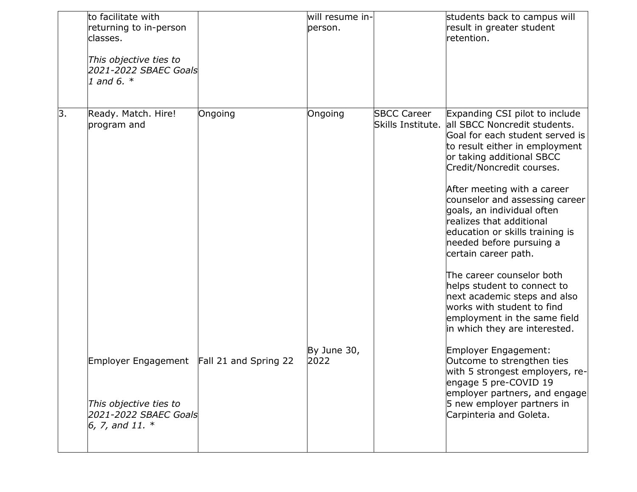|    | to facilitate with<br>returning to in-person<br>classes.<br>This objective ties to<br>2021-2022 SBAEC Goals<br>1 and 6. $*$ |         | will resume in-<br>person. |                                         | students back to campus will<br>result in greater student<br>retention.                                                                                                                                                                                                                                                                                                                                                                                                                                                                                                                                    |
|----|-----------------------------------------------------------------------------------------------------------------------------|---------|----------------------------|-----------------------------------------|------------------------------------------------------------------------------------------------------------------------------------------------------------------------------------------------------------------------------------------------------------------------------------------------------------------------------------------------------------------------------------------------------------------------------------------------------------------------------------------------------------------------------------------------------------------------------------------------------------|
| β. | Ready. Match. Hire!<br>program and                                                                                          | Ongoing | Ongoing                    | <b>SBCC Career</b><br>Skills Institute. | Expanding CSI pilot to include<br>all SBCC Noncredit students.<br>Goal for each student served is<br>to result either in employment<br>or taking additional SBCC<br>Credit/Noncredit courses.<br>After meeting with a career<br>counselor and assessing career<br>goals, an individual often<br>realizes that additional<br>education or skills training is<br>needed before pursuing a<br>certain career path.<br>The career counselor both<br>helps student to connect to<br>next academic steps and also<br>works with student to find<br>employment in the same field<br>in which they are interested. |
|    | Employer Engagement Fall 21 and Spring 22                                                                                   |         | By June 30,<br>2022        |                                         | Employer Engagement:<br>Outcome to strengthen ties<br>with 5 strongest employers, re-<br>engage 5 pre-COVID 19<br>employer partners, and engage                                                                                                                                                                                                                                                                                                                                                                                                                                                            |
|    | This objective ties to<br>2021-2022 SBAEC Goals<br>6, 7, and 11. $*$                                                        |         |                            |                                         | 5 new employer partners in<br>Carpinteria and Goleta.                                                                                                                                                                                                                                                                                                                                                                                                                                                                                                                                                      |